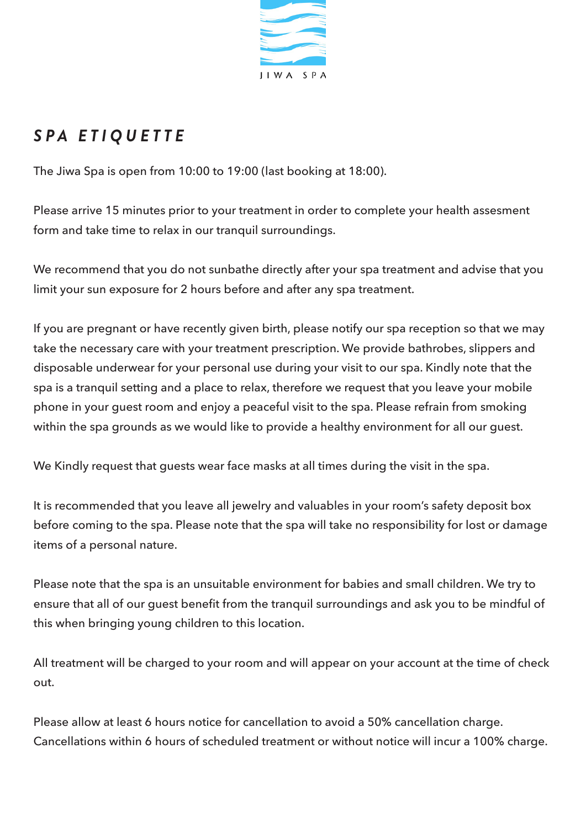

# *SPA ETIQUETTE*

The Jiwa Spa is open from 10:00 to 19:00 (last booking at 18:00).

Please arrive 15 minutes prior to your treatment in order to complete your health assesment form and take time to relax in our tranquil surroundings.

We recommend that you do not sunbathe directly after your spa treatment and advise that you limit your sun exposure for 2 hours before and after any spa treatment.

If you are pregnant or have recently given birth, please notify our spa reception so that we may take the necessary care with your treatment prescription. We provide bathrobes, slippers and disposable underwear for your personal use during your visit to our spa. Kindly note that the spa is a tranquil setting and a place to relax, therefore we request that you leave your mobile phone in your guest room and enjoy a peaceful visit to the spa. Please refrain from smoking within the spa grounds as we would like to provide a healthy environment for all our guest.

We Kindly request that guests wear face masks at all times during the visit in the spa.

It is recommended that you leave all jewelry and valuables in your room's safety deposit box before coming to the spa. Please note that the spa will take no responsibility for lost or damage items of a personal nature.

Please note that the spa is an unsuitable environment for babies and small children. We try to ensure that all of our guest benefit from the tranquil surroundings and ask you to be mindful of this when bringing young children to this location.

All treatment will be charged to your room and will appear on your account at the time of check out.

Please allow at least 6 hours notice for cancellation to avoid a 50% cancellation charge. Cancellations within 6 hours of scheduled treatment or without notice will incur a 100% charge.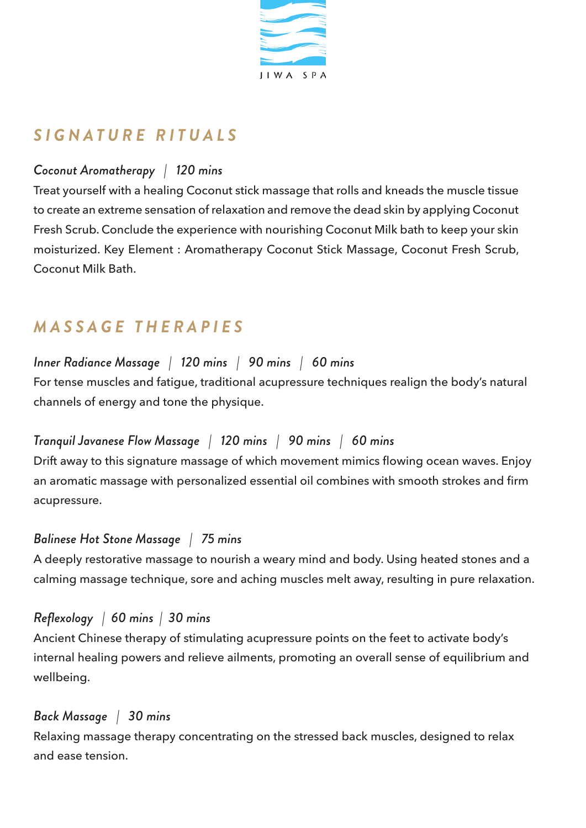

## *SIGNATURE RITUALS*

## *Coconut Aromatherapy | 120 mins*

Treat yourself with a healing Coconut stick massage that rolls and kneads the muscle tissue to create an extreme sensation of relaxation and remove the dead skin by applying Coconut Fresh Scrub. Conclude the experience with nourishing Coconut Milk bath to keep your skin moisturized. Key Element : Aromatherapy Coconut Stick Massage, Coconut Fresh Scrub, Coconut Milk Bath.

## *MASSAGE THERAPIES*

### *Inner Radiance Massage | 120 mins | 90 mins | 60 mins*

For tense muscles and fatigue, traditional acupressure techniques realign the body's natural channels of energy and tone the physique.

#### *Tranquil Javanese Flow Massage | 120 mins | 90 mins | 60 mins*

Drift away to this signature massage of which movement mimics flowing ocean waves. Enjoy an aromatic massage with personalized essential oil combines with smooth strokes and firm acupressure.

#### *Balinese Hot Stone Massage | 75 mins*

A deeply restorative massage to nourish a weary mind and body. Using heated stones and a calming massage technique, sore and aching muscles melt away, resulting in pure relaxation.

#### *Reflexology | 60 mins | 30 mins*

Ancient Chinese therapy of stimulating acupressure points on the feet to activate body's internal healing powers and relieve ailments, promoting an overall sense of equilibrium and wellbeing.

#### *Back Massage | 30 mins*

Relaxing massage therapy concentrating on the stressed back muscles, designed to relax and ease tension.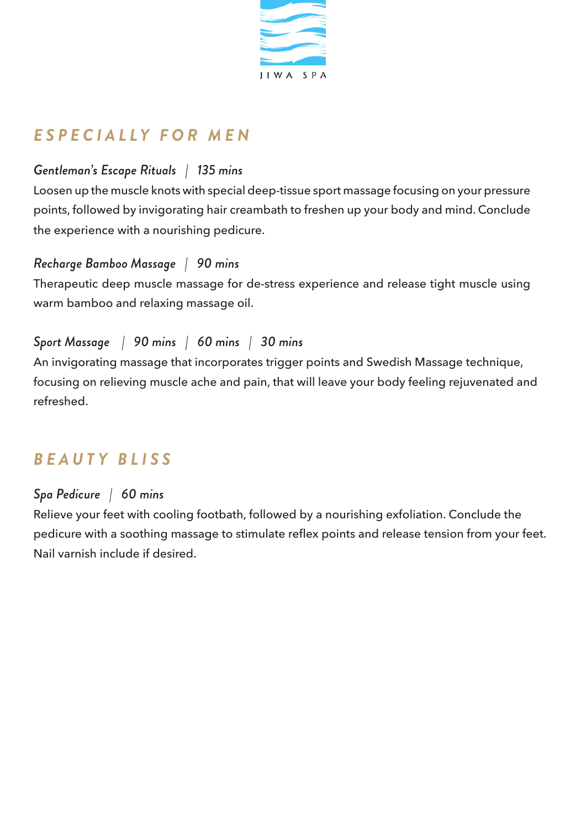

# *ESPECIALLY FOR MEN*

## *Gentleman's Escape Rituals | 135 mins*

Loosen up the muscle knots with special deep-tissue sport massage focusing on your pressure points, followed by invigorating hair creambath to freshen up your body and mind. Conclude the experience with a nourishing pedicure.

### *Recharge Bamboo Massage | 90 mins*

Therapeutic deep muscle massage for de-stress experience and release tight muscle using warm bamboo and relaxing massage oil.

## *Sport Massage | 90 mins | 60 mins | 30 mins*

An invigorating massage that incorporates trigger points and Swedish Massage technique, focusing on relieving muscle ache and pain, that will leave your body feeling rejuvenated and refreshed.

## *BEAUTY BLISS*

## *Spa Pedicure | 60 mins*

Relieve your feet with cooling footbath, followed by a nourishing exfoliation. Conclude the pedicure with a soothing massage to stimulate reflex points and release tension from your feet. Nail varnish include if desired.